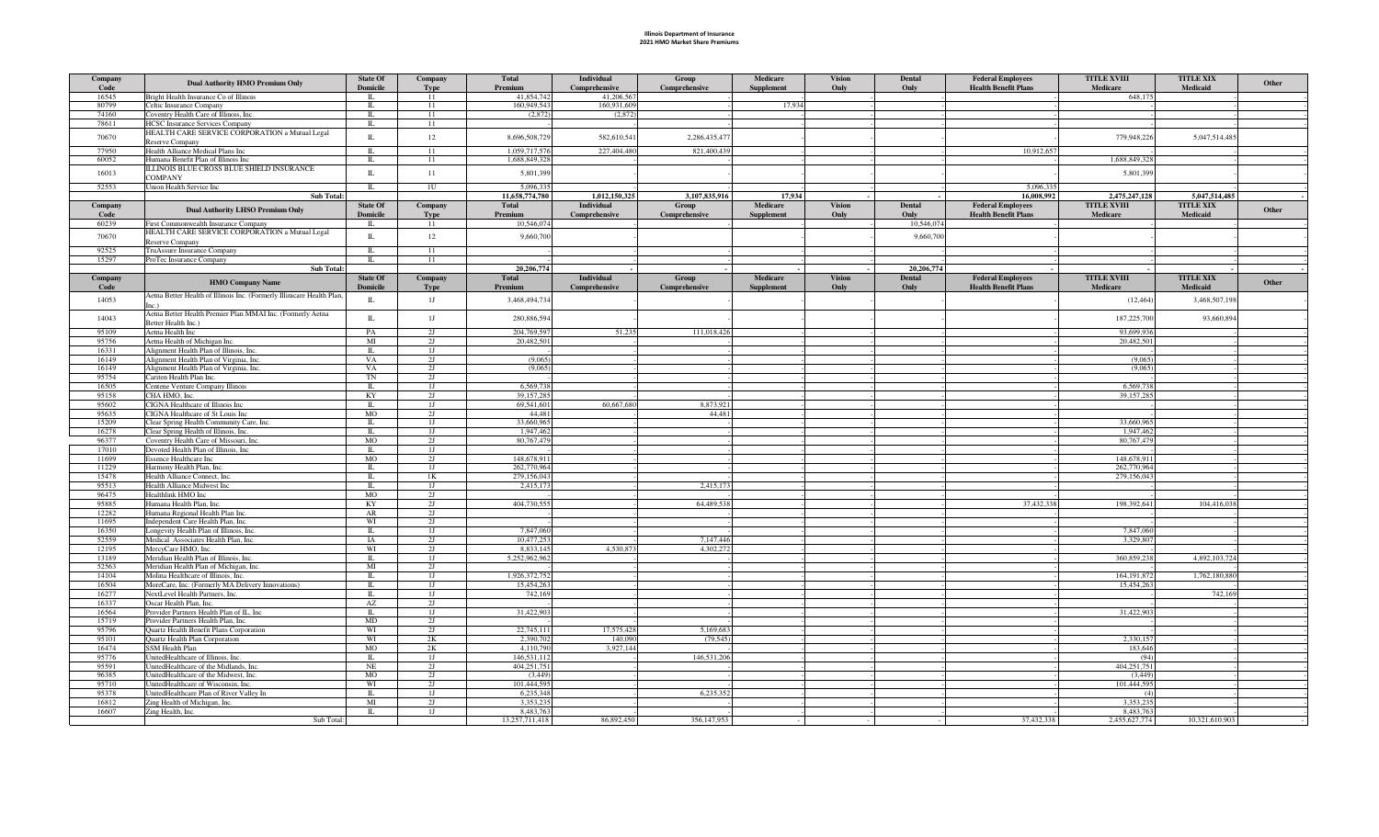## Illinois Department of Insurance 2021 HMO Market Share Premiums

| Company<br>Code | <b>Dual Authority HMO Premium Only</b>                                               | <b>State Of</b><br><b>Domicile</b> | Company<br><b>Type</b> | Total<br>Premium       | Individual<br>Comprehensive | Group<br>Comprehensive | Medicare<br><b>Supplement</b> | <b>Vision</b><br>Only | Dental<br>Only              | <b>Federal Employees</b><br><b>Health Benefit Plans</b> | <b>TITLE XVIII</b><br>Medicare | <b>TITLE XIX</b><br>Medicaid | Other |
|-----------------|--------------------------------------------------------------------------------------|------------------------------------|------------------------|------------------------|-----------------------------|------------------------|-------------------------------|-----------------------|-----------------------------|---------------------------------------------------------|--------------------------------|------------------------------|-------|
| 16545           | Bright Health Insurance Co of Illinois                                               | $\Pi$ .                            | 11                     | 41,854,742             | 41,206,567                  |                        |                               |                       |                             |                                                         | 648,175                        |                              |       |
| 80799           | Celtic Insurance Company                                                             | $\Pi$ .                            | 11                     | 160,949,543            | 160,931,609                 |                        | 17,934                        |                       |                             |                                                         |                                |                              |       |
| 74160           | Coventry Health Care of Illinois, Inc.                                               | $\mathbbm{L}$                      | 11                     | (2,872)                | (2,872)                     |                        |                               |                       |                             |                                                         |                                |                              |       |
| 78611           | <b>HCSC</b> Insurance Services Company                                               | $\mathbbm{L}$                      | 11                     |                        |                             |                        |                               |                       |                             |                                                         |                                |                              |       |
| 70670           | HEALTH CARE SERVICE CORPORATION a Mutual Legal<br>Reserve Company                    | $\rm IL$                           | 12                     | 8,696,508,72           | 582,610,541                 | 2,286,435,477          |                               |                       |                             |                                                         | 779,948,226                    | 5,047,514,485                |       |
| 77950           | Health Alliance Medical Plans Inc                                                    | $\mathbbm{L}$                      | 11                     | 1,059,717,57           | 227,404,480                 | 821,400,439            |                               |                       |                             | 10,912,657                                              |                                |                              |       |
| 60052           | Humana Benefit Plan of Illinois Inc                                                  | $\mathbf{I}$                       | 11                     | 1.688.849.32           |                             |                        |                               |                       |                             |                                                         | 1,688,849,328                  |                              |       |
| 16013           | ILLINOIS BLUE CROSS BLUE SHIELD INSURANCE                                            | $\rm IL$                           | 11                     | 5,801,39               |                             |                        |                               |                       |                             |                                                         | 5,801,399                      |                              |       |
| 52553           | <b>COMPANY</b>                                                                       | $\Pi$ .                            | 1U                     | 5.096.33               |                             |                        |                               |                       |                             | 5,096,335                                               |                                |                              |       |
|                 | Union Health Service Inc<br>Sub Total:                                               |                                    |                        | 11,658,774,780         | 1,012,150,325               | 3,107,835,916          | 17,934                        |                       |                             | 16,008,992                                              | 2,475,247,128                  | 5,047,514,485                |       |
| Company         |                                                                                      | <b>State Of</b>                    | Company                | <b>Total</b>           | <b>Individual</b>           | Group                  | Medicare                      | <b>Vision</b>         | Dental                      | <b>Federal Employees</b>                                | <b>TITLE XVIII</b>             | <b>TITLE XIX</b>             |       |
| Code            | <b>Dual Authority LHSO Premium Only</b>                                              | <b>Domicile</b>                    | Type                   | Premium                | Comprehensive               | Comprehensive          | Supplement                    | Only                  | Only                        | <b>Health Benefit Plans</b>                             | Medicare                       | <b>Medicaid</b>              | Other |
| 60239           | First Commonwealth Insurance Company                                                 | IL                                 | 11                     | 10,546,074             |                             |                        |                               |                       | 10,546,074                  |                                                         |                                |                              |       |
| 70670           | HEALTH CARE SERVICE CORPORATION a Mutual Legal                                       | $\rm IL$                           | 12                     | 9,660,70               |                             |                        |                               |                       | 9,660,700                   |                                                         |                                |                              |       |
|                 | Reserve Company                                                                      |                                    |                        |                        |                             |                        |                               |                       |                             |                                                         |                                |                              |       |
| 92525           | TruAssure Insurance Company                                                          | $\mathbb{L}$                       | 11                     |                        |                             |                        |                               |                       |                             |                                                         |                                |                              |       |
| 15297           | ProTec Insurance Company                                                             | $\rm IL$                           | 11                     |                        |                             |                        |                               |                       |                             |                                                         |                                |                              |       |
| Company         | Sub Total:                                                                           | <b>State Of</b>                    | Company                | 20,206,774<br>Total    | Individual                  | Group                  | Medicare                      | <b>Vision</b>         | 20,206,774<br><b>Dental</b> | <b>Federal Employees</b>                                | <b>TITLE XVIII</b>             | <b>TITLE XIX</b>             |       |
| Code            | <b>HMO Company Name</b>                                                              | <b>Domicile</b>                    | <b>Type</b>            | Premium                | Comprehensive               | Comprehensive          | <b>Supplement</b>             | Only                  | Only                        | <b>Health Benefit Plans</b>                             | Medicare                       | <b>Medicaid</b>              | Other |
|                 | Aetna Better Health of Illinois Inc. (Formerly Illinicare Health Plan,               |                                    |                        |                        |                             |                        |                               |                       |                             |                                                         |                                |                              |       |
| 14053           | Inc.)                                                                                | $\mathbb{L}$                       | 1J                     | 3,468,494,73           |                             |                        |                               |                       |                             |                                                         | (12, 464)                      | 3,468,507,198                |       |
| 14043           | Aetna Better Health Premier Plan MMAI Inc. (Formerly Aetna                           | $\mathbbm{L}$                      | 1J                     | 280,886,594            |                             |                        |                               |                       |                             |                                                         | 187,225,700                    | 93,660,894                   |       |
|                 | Better Health Inc.)                                                                  |                                    |                        |                        |                             |                        |                               |                       |                             |                                                         |                                |                              |       |
| 95109           | Aetna Health Inc                                                                     | PA                                 | 2J                     | 204,769.59             | 51,235                      | 111,018,426            |                               |                       |                             |                                                         | 93,699,936                     |                              |       |
| 95756           | Aetna Health of Michigan Inc.                                                        | MI                                 | 2J                     | 20,482.50              |                             |                        |                               |                       |                             |                                                         | 20.482.501                     |                              |       |
| 16331<br>16149  | Alignment Health Plan of Illinois, Inc.<br>Alignment Health Plan of Virginia, Inc.   | $\Pi$ .<br>VA                      | 1J<br>2J               | (9,065)                |                             |                        |                               |                       |                             |                                                         | (9.065)                        |                              |       |
| 16149           | Alignment Health Plan of Virginia, Inc.                                              | VA                                 | 2J                     | (9,065)                |                             |                        |                               |                       |                             |                                                         | (9,065)                        |                              |       |
| 95754           | Cariten Health Plan Inc.                                                             | TN                                 | 2J                     |                        |                             |                        |                               |                       |                             |                                                         |                                |                              |       |
| 16505           | Centene Venture Company Illinois                                                     | $\Pi$ .                            | 1J                     | 6,569,73               |                             |                        |                               |                       |                             |                                                         | 6,569,738                      |                              |       |
| 95158           | CHA HMO, Inc.                                                                        | KY                                 | 2J                     | 39.157.28:             |                             |                        |                               |                       |                             |                                                         | 39,157,285                     |                              |       |
| 95602           | CIGNA Healthcare of Illinois Inc                                                     | $\Pi$ .                            | 1J                     | 69,541,60              | 60,667,680                  | 8,873,921              |                               |                       |                             |                                                         |                                |                              |       |
| 95635           | CIGNA Healthcare of St Louis Inc                                                     | MO                                 | 2J                     | 44.48                  |                             | 44,481                 |                               |                       |                             |                                                         |                                |                              |       |
| 15209           | Clear Spring Health Community Care, Inc.                                             | $\Pi$                              | 1J                     | 33.660.96              |                             |                        |                               |                       |                             |                                                         | 33.660.965                     |                              |       |
| 16278           | Clear Spring Health of Illinois, Inc.                                                | $\Pi$ .                            | 1J                     | 1,947,46               |                             |                        |                               |                       |                             |                                                         | 1,947,462                      |                              |       |
| 96377<br>17010  | Coventry Health Care of Missouri, Inc.<br>Devoted Health Plan of Illinois, Inc.      | MO<br>$\Pi$ .                      | 2J<br>1J               | 80,767,479             |                             |                        |                               |                       |                             |                                                         | 80,767,479                     |                              |       |
| 11699           | <b>Essence Healthcare Inc</b>                                                        | MO                                 | 2J                     | 148,678,91             |                             |                        |                               |                       |                             |                                                         | 148,678,911                    |                              |       |
| 11229           | Harmony Health Plan, Inc.                                                            | IL                                 | 1J                     | 262,770,96             |                             |                        |                               |                       |                             |                                                         | 262,770,964                    |                              |       |
| 15478           | Health Alliance Connect, Inc.                                                        | $\Pi$ .                            | 1 <sub>K</sub>         | 279,156,043            |                             |                        |                               |                       |                             |                                                         | 279,156,043                    |                              |       |
| 95513           | Health Alliance Midwest Inc                                                          | $\mathbb{L}$                       | 1J                     | 2,415,17               |                             | 2,415,173              |                               |                       |                             |                                                         |                                |                              |       |
| 96475           | Healthlink HMO Inc                                                                   | MO                                 | 2J                     |                        |                             |                        |                               |                       |                             |                                                         |                                |                              |       |
| 95885           | Humana Health Plan, Inc.                                                             | KY                                 | 2J<br>2J               | 404,730,55:            |                             | 64,489,538             |                               |                       |                             | 37,432,338                                              | 198,392,641                    | 104,416,038                  |       |
| 12282<br>11695  | Humana Regional Health Plan Inc.<br>Independent Care Health Plan, Inc.               | AR<br>WI                           | 2J                     |                        |                             |                        |                               |                       |                             |                                                         |                                |                              |       |
| 16350           | Longevity Health Plan of Illinois, Inc.                                              | $\mathbbm{L}$                      | 1J                     | 7,847,060              |                             |                        |                               |                       |                             |                                                         | 7,847,060                      |                              |       |
| 52559           | Medical Associates Health Plan, Inc.                                                 | IA                                 | 2J                     | 10,477,252             |                             | 7,147,446              |                               |                       |                             |                                                         | 3,329,807                      |                              |       |
| 12195           | MercyCare HMO, Inc.                                                                  | WI                                 | 2J                     | 8.833.14               | 4,530,873                   | 4,302,272              |                               |                       |                             |                                                         |                                |                              |       |
| 13189           | Meridian Health Plan of Illinois, Inc.                                               | $\Pi$ .                            | 1J                     | 5,252,962,96           |                             |                        |                               |                       |                             |                                                         | 360,859,238                    | 4,892,103,724                |       |
| 52563           | Meridian Health Plan of Michigan, Inc.                                               | MI                                 | 2J                     |                        |                             |                        |                               |                       |                             |                                                         |                                |                              |       |
| 14104           | Molina Healthcare of Illinois, Inc.                                                  | IL                                 | 1J                     | 1.926,372.75           |                             |                        |                               |                       |                             |                                                         | 164, 191, 872                  | 1,762,180,880                |       |
| 16504           | MoreCare, Inc. (Formerly MA Delivery Innovations)<br>NextLevel Health Partners, Inc. | $\Pi$ .                            | 1J                     | 15,454,26<br>742.169   |                             |                        |                               |                       |                             |                                                         | 15,454,263                     | 742.169                      |       |
| 16277<br>16337  | Oscar Health Plan, Inc.                                                              | IL<br>AZ                           | 1J<br>2J               |                        |                             |                        |                               |                       |                             |                                                         |                                |                              |       |
| 16564           | Provider Partners Health Plan of IL, Inc                                             | $\Pi$ .                            | 1J                     | 31,422,903             |                             |                        |                               |                       |                             |                                                         | 31,422,903                     |                              |       |
| 15719           | Provider Partners Health Plan, Inc.                                                  | MD                                 | 2J                     |                        |                             |                        |                               |                       |                             |                                                         |                                |                              |       |
| 95796           | Quartz Health Benefit Plans Corporation                                              | WI                                 | 2J                     | 22,745,11              | 17,575,428                  | 5,169,683              |                               |                       |                             |                                                         |                                |                              |       |
| 95101           | Quartz Health Plan Corporation                                                       | WI                                 | 2K                     | 2,390,70               | 140,090                     | (79, 545)              |                               |                       |                             |                                                         | 2,330,157                      |                              |       |
| 16474           | <b>SSM Health Plan</b>                                                               | MO                                 | 2K                     | 4,110,790              | 3,927,144                   |                        |                               |                       |                             |                                                         | 183,646                        |                              |       |
| 95776           | JnitedHealthcare of Illinois, Inc.                                                   | $\Pi$                              | 1J                     | 146,531,11             |                             | 146,531,206            |                               |                       |                             |                                                         | (94)                           |                              |       |
| 95591<br>96385  | UnitedHealthcare of the Midlands, Inc.<br>UnitedHealthcare of the Midwest, Inc.      | NE<br><b>MO</b>                    | 2J<br>2J               | 404,251,75<br>(3, 449) |                             |                        |                               |                       |                             |                                                         | 404.251.751<br>(3, 449)        |                              |       |
| 95710           | UnitedHealthcare of Wisconsin, Inc.                                                  | WI                                 | 2J                     | 101,444,59:            |                             |                        |                               |                       |                             |                                                         | 101,444,595                    |                              |       |
| 95378           | UnitedHealthcare Plan of River Valley In                                             | $\Pi$ .                            | 1 <sub>J</sub>         | 6.235.34               |                             | 6.235.352              |                               |                       |                             |                                                         | (4)                            |                              |       |
| 16812           | Zing Health of Michigan, Inc.                                                        | MI                                 | 2J                     | 3,353,23               |                             |                        |                               |                       |                             |                                                         | 3,353,235                      |                              |       |
| 16607           | Zing Health, Inc.                                                                    | $\Pi$ .                            | 1J                     | 8,483,76               |                             |                        |                               |                       |                             |                                                         | 8,483,763                      |                              |       |
|                 | Sub Total:                                                                           |                                    |                        | 13,257,711,418         | 86,892,450                  | 356.147.953            |                               |                       |                             | 37,432,338                                              | 2,455,627,774                  | 10,321,610,903               |       |